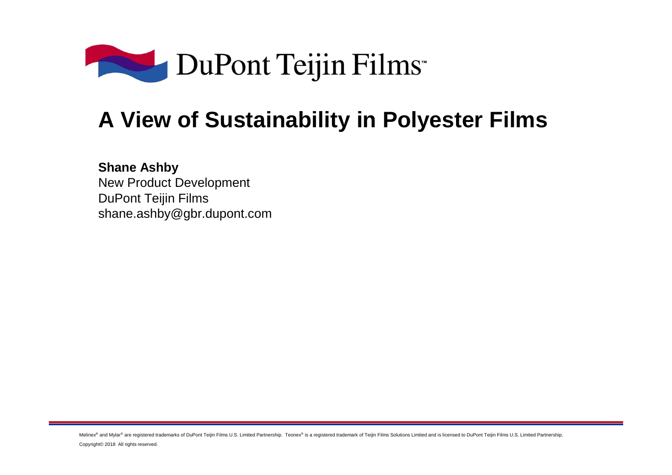

## **A View of Sustainability in Polyester Films**

**Shane Ashby** New Product DevelopmentDuPont Teijin Filmsshane.ashby@gbr.dupont.com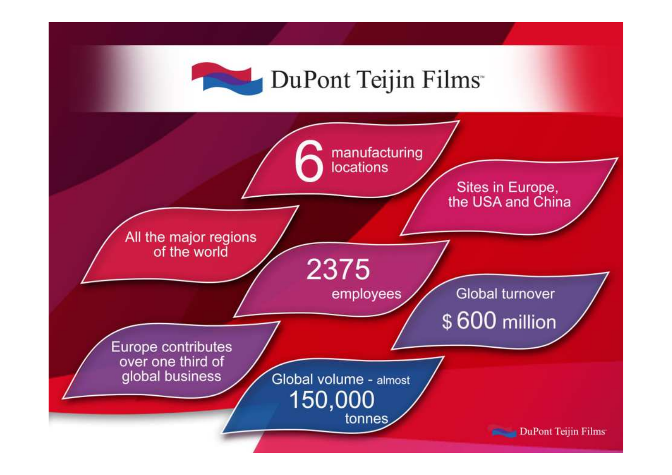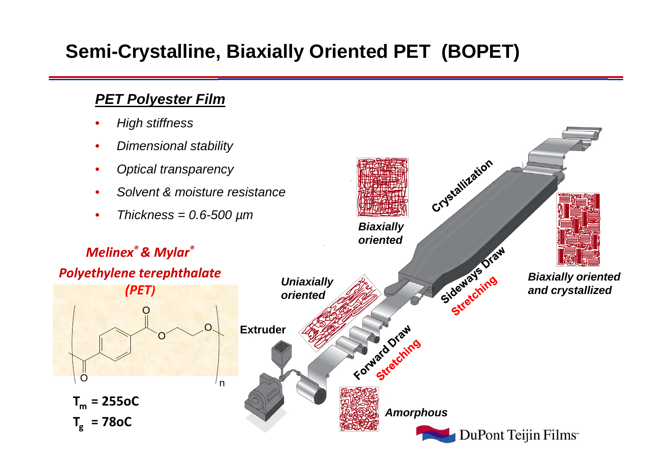### **Semi-Crystalline, Biaxially Oriented PET (BOPET)**

#### **PET Polyester Film**

•High stiffness

**Tm = 255oC**

O

**Tg = 78oC**

- •Dimensional stability
- •Optical transparency

O

O

*(PET)*

- •Solvent & moisture resistance
- •Thickness =  $0.6$ -500  $\mu$ m

#### Crystallization **Biaxially orientedBiaxially oriented**<br>Sideways oriented<br>and crystallized *Melinex® & Mylar® Polyethylene terephthalate* **Uniaxially and crystallizedoriented**Forward Draw O**Extruder**Watd Draing <sup>n</sup>**Amorphous**DuPont Teijin Films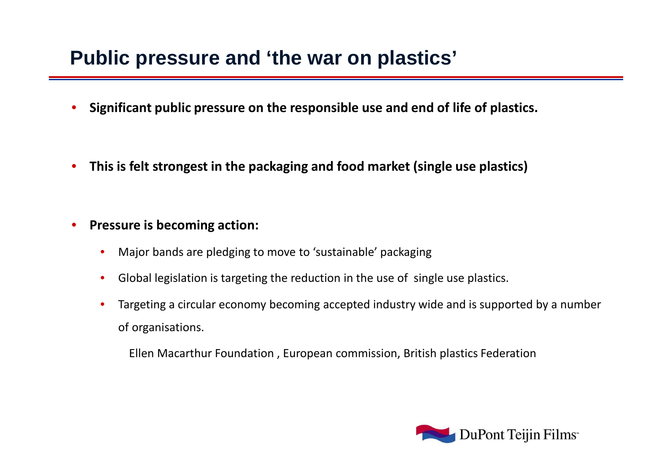### **Public pressure and 'the war on plastics'**

- •**Significant public pressure on the responsible use and end of life of plastics.**
- •**This is felt strongest in the packaging and food market (single use plastics)**

#### •**Pressure is becoming action:**

- Major bands are pledging to move to 'sustainable' packaging •
- $\bullet$ Global legislation is targeting the reduction in the use of single use plastics.
- Targeting a circular economy becoming accepted industry wide and is supported by a number of organisations.•

Ellen Macarthur Foundation , European commission, British plastics Federation

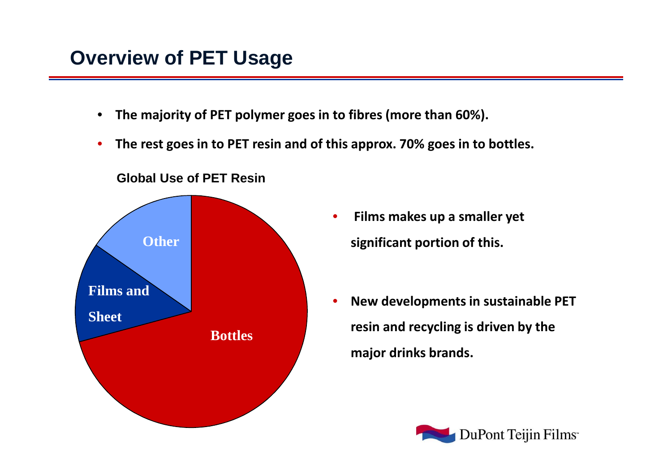### **Overview of PET Usage**

- $\bullet$ **The majority of PET polymer goes in to fibres (more than 60%).**
- $\bullet$ **The rest goes in to PET resin and of this approx. 70% goes in to bottles.**



#### **Global Use of PET Resin**

- $\bullet$  **Films makes up a smaller yet significant portion of this.**
- • **New developments in sustainable PET resin and recycling is driven by the major drinks brands.**

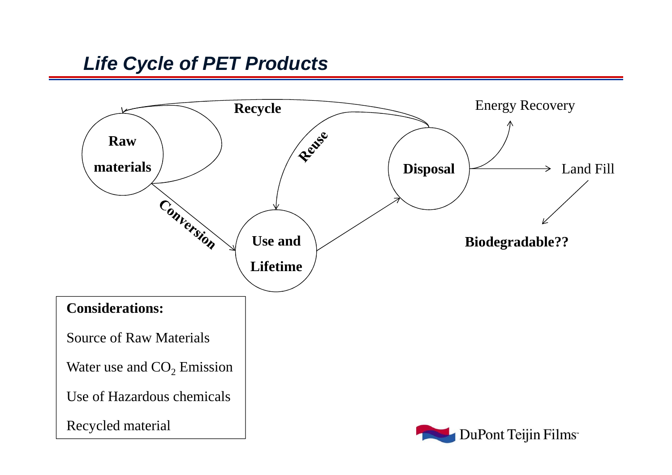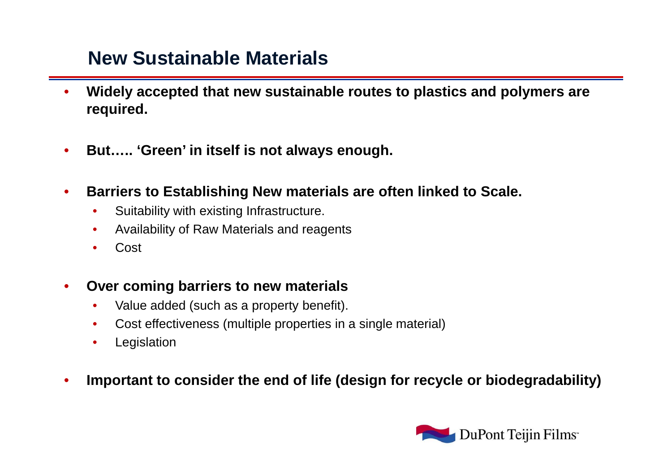#### **New Sustainable Materials**

- • **Widely accepted that new sustainable routes to plastics and polymers are required.**
- •**But….. 'Green' in itself is not always enough.**
- • **Barriers to Establishing New materials are often linked to Scale.**
	- •Suitability with existing Infrastructure.
	- •Availability of Raw Materials and reagents
	- •Cost
- • **Over coming barriers to new materials** 
	- •Value added (such as a property benefit).
	- •Cost effectiveness (multiple properties in a single material)
	- •Legislation
- •**Important to consider the end of life (design for recycle or biodegradability)**

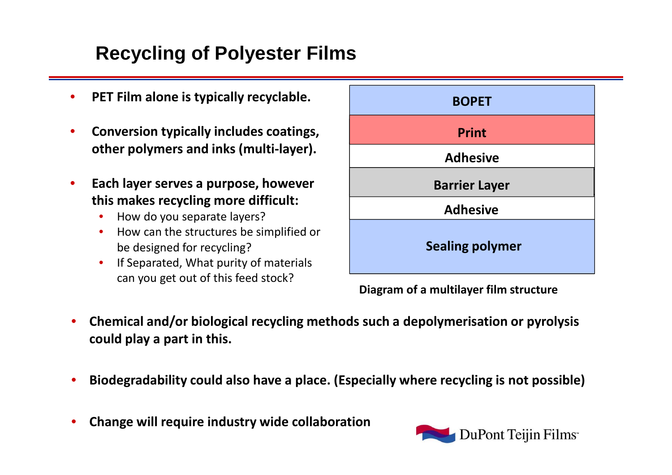### **Recycling of Polyester Films**

- •**PET Film alone is typically recyclable.**
- • **Conversion typically includes coatings, other polymers and inks (multi-layer).**
- $\bullet$  **Each layer serves a purpose, however this makes recycling more difficult:**
	- •How do you separate layers?
	- How can the structures be simplified or •be designed for recycling?
	- If Separated, What purity of materials •can you get out of this feed stock?



**Diagram of a multilayer film structure**

- • **Chemical and/or biological recycling methods such a depolymerisation or pyrolysis could play a part in this.**
- •**Biodegradability could also have a place. (Especially where recycling is not possible)**
- •**Change will require industry wide collaboration**

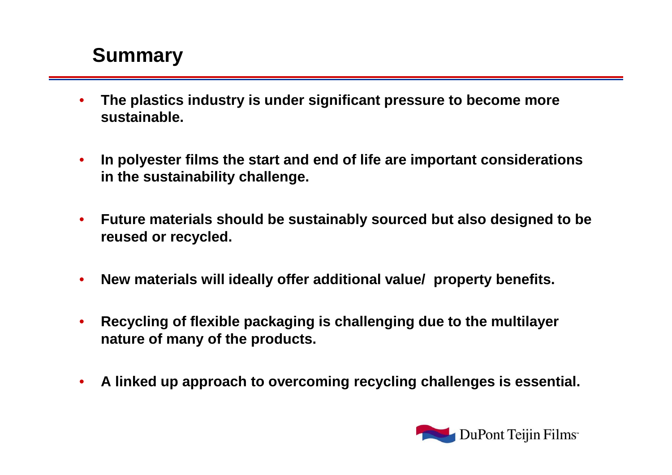### **Summary**

- $\bullet$  **The plastics industry is under significant pressure to become more sustainable.**
- $\bullet$  **In polyester films the start and end of life are important considerations in the sustainability challenge.**
- $\bullet$  **Future materials should be sustainably sourced but also designed to be reused or recycled.**
- $\bullet$ **New materials will ideally offer additional value/ property benefits.**
- $\bullet$  **Recycling of flexible packaging is challenging due to the multilayer nature of many of the products.**
- $\bullet$ **A linked up approach to overcoming recycling challenges is essential.**